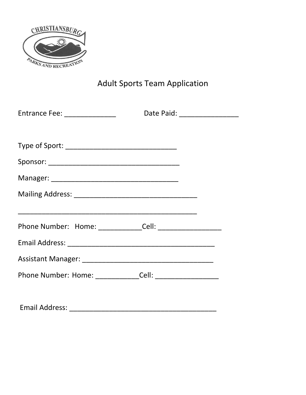

## Adult Sports Team Application

| Entrance Fee: _______________ | Date Paid: ____________________ |  |
|-------------------------------|---------------------------------|--|
|                               |                                 |  |
|                               |                                 |  |
|                               |                                 |  |
|                               |                                 |  |
|                               |                                 |  |
|                               |                                 |  |
|                               |                                 |  |
|                               |                                 |  |
|                               |                                 |  |
|                               |                                 |  |
|                               |                                 |  |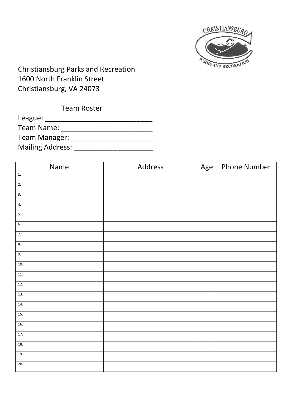

Christiansburg Parks and Recreation 1600 North Franklin Street Christiansburg, VA 24073

| <b>Team Roster</b>      |  |
|-------------------------|--|
| League:                 |  |
| Team Name:              |  |
| Team Manager:           |  |
| <b>Mailing Address:</b> |  |

| Name             | Address | Age | <b>Phone Number</b> |
|------------------|---------|-----|---------------------|
| $\overline{1}$ . |         |     |                     |
| $\overline{2}$ . |         |     |                     |
| $\overline{3}$ . |         |     |                     |
| 4.               |         |     |                     |
| $\overline{5}$ . |         |     |                     |
| 6.               |         |     |                     |
| 7.               |         |     |                     |
| 8.               |         |     |                     |
| 9.               |         |     |                     |
| 10.              |         |     |                     |
| 11.              |         |     |                     |
| 12.              |         |     |                     |
| 13.              |         |     |                     |
| 14.              |         |     |                     |
| 15.              |         |     |                     |
| 16.              |         |     |                     |
| 17.              |         |     |                     |
| 18.              |         |     |                     |
| 19.              |         |     |                     |
| 20.              |         |     |                     |